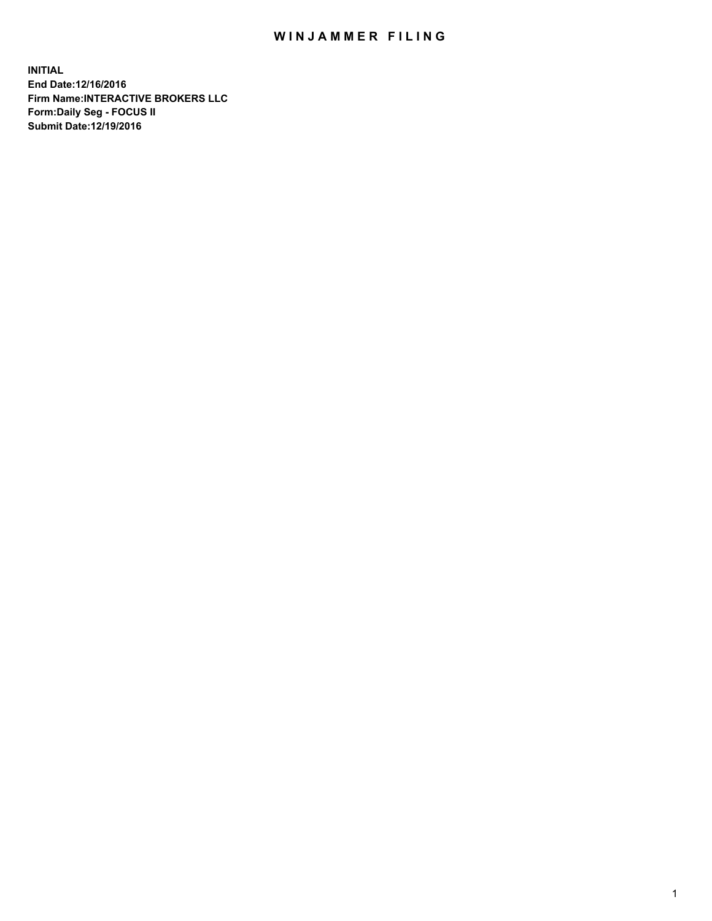## WIN JAMMER FILING

**INITIAL End Date:12/16/2016 Firm Name:INTERACTIVE BROKERS LLC Form:Daily Seg - FOCUS II Submit Date:12/19/2016**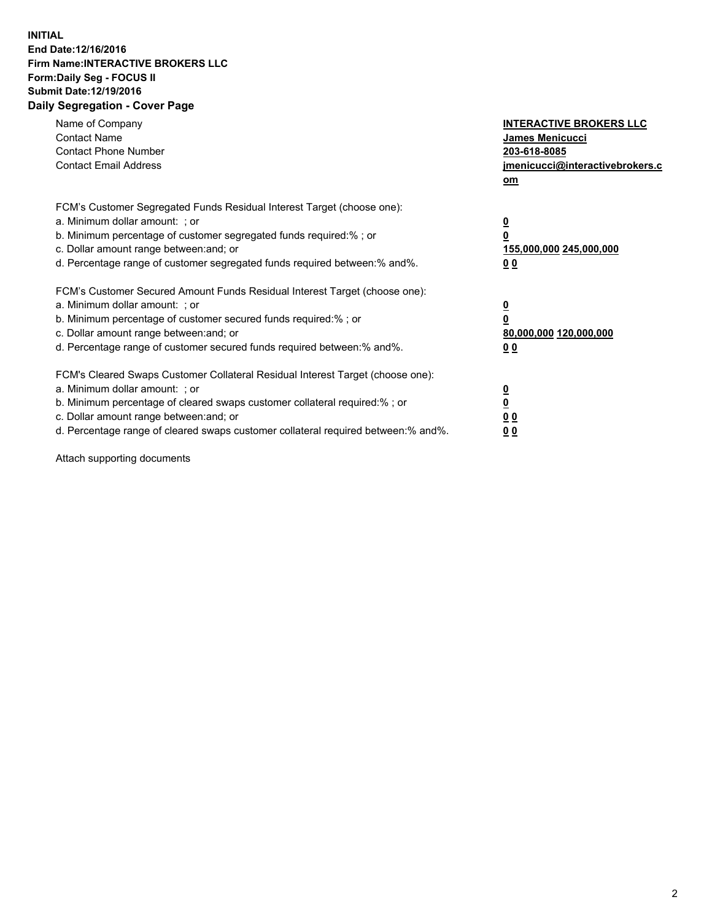## **INITIAL End Date:12/16/2016 Firm Name:INTERACTIVE BROKERS LLC Form:Daily Seg - FOCUS II Submit Date:12/19/2016 Daily Segregation - Cover Page**

| Name of Company<br><b>Contact Name</b><br><b>Contact Phone Number</b><br><b>Contact Email Address</b>                                                                                                                                                                                                                          | <b>INTERACTIVE BROKERS LLC</b><br>James Menicucci<br>203-618-8085<br><u>jmenicucci@interactivebrokers.c</u><br>om |
|--------------------------------------------------------------------------------------------------------------------------------------------------------------------------------------------------------------------------------------------------------------------------------------------------------------------------------|-------------------------------------------------------------------------------------------------------------------|
| FCM's Customer Segregated Funds Residual Interest Target (choose one):<br>a. Minimum dollar amount: ; or<br>b. Minimum percentage of customer segregated funds required:%; or<br>c. Dollar amount range between: and; or<br>d. Percentage range of customer segregated funds required between:% and%.                          | $\overline{\mathbf{0}}$<br>0<br>155,000,000 245,000,000<br>0 <sub>0</sub>                                         |
| FCM's Customer Secured Amount Funds Residual Interest Target (choose one):<br>a. Minimum dollar amount: ; or<br>b. Minimum percentage of customer secured funds required:%; or<br>c. Dollar amount range between: and; or<br>d. Percentage range of customer secured funds required between:% and%.                            | $\overline{\mathbf{0}}$<br>$\overline{\mathbf{0}}$<br>80,000,000 120,000,000<br>00                                |
| FCM's Cleared Swaps Customer Collateral Residual Interest Target (choose one):<br>a. Minimum dollar amount: ; or<br>b. Minimum percentage of cleared swaps customer collateral required:% ; or<br>c. Dollar amount range between: and; or<br>d. Percentage range of cleared swaps customer collateral required between:% and%. | $\overline{\mathbf{0}}$<br>$\overline{\mathbf{0}}$<br>0 <sub>0</sub><br><u>00</u>                                 |

Attach supporting documents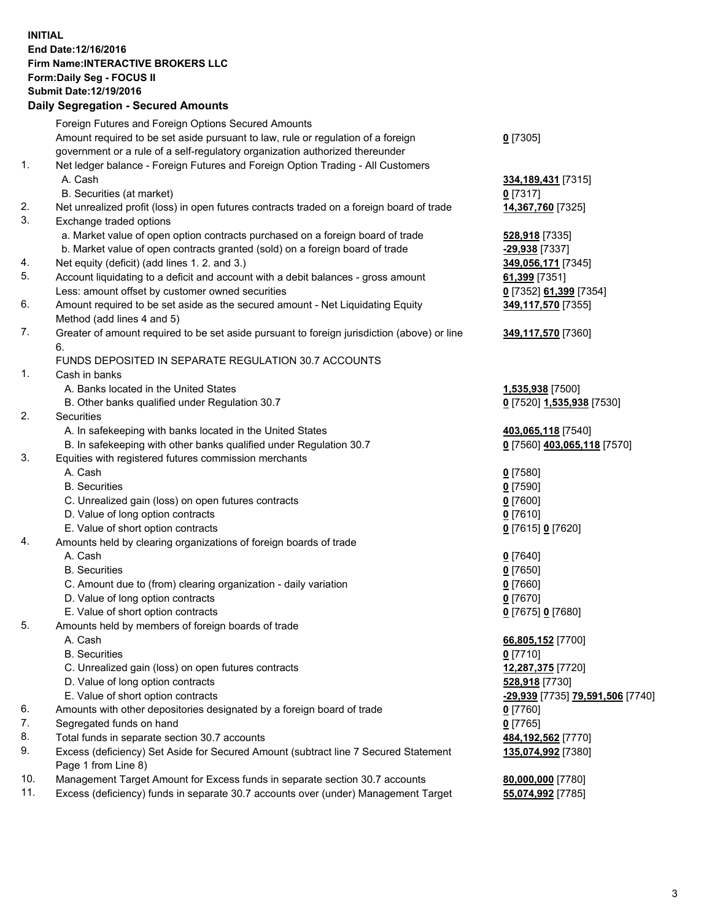## **INITIAL End Date:12/16/2016 Firm Name:INTERACTIVE BROKERS LLC Form:Daily Seg - FOCUS II Submit Date:12/19/2016 Daily Segregation - Secured Amounts**

|     | Daily Segregation - Secured Amounts                                                                  |                                  |
|-----|------------------------------------------------------------------------------------------------------|----------------------------------|
|     | Foreign Futures and Foreign Options Secured Amounts                                                  |                                  |
|     | Amount required to be set aside pursuant to law, rule or regulation of a foreign                     | $0$ [7305]                       |
|     | government or a rule of a self-regulatory organization authorized thereunder                         |                                  |
| 1.  | Net ledger balance - Foreign Futures and Foreign Option Trading - All Customers                      |                                  |
|     | A. Cash                                                                                              | 334, 189, 431 [7315]             |
|     | B. Securities (at market)                                                                            | $0$ [7317]                       |
| 2.  |                                                                                                      |                                  |
| 3.  | Net unrealized profit (loss) in open futures contracts traded on a foreign board of trade            | 14,367,760 [7325]                |
|     | Exchange traded options                                                                              |                                  |
|     | a. Market value of open option contracts purchased on a foreign board of trade                       | 528,918 [7335]                   |
|     | b. Market value of open contracts granted (sold) on a foreign board of trade                         | -29,938 [7337]                   |
| 4.  | Net equity (deficit) (add lines 1. 2. and 3.)                                                        | 349,056,171 [7345]               |
| 5.  | Account liquidating to a deficit and account with a debit balances - gross amount                    | 61,399 [7351]                    |
|     | Less: amount offset by customer owned securities                                                     | 0 [7352] 61,399 [7354]           |
| 6.  | Amount required to be set aside as the secured amount - Net Liquidating Equity                       | 349,117,570 [7355]               |
|     | Method (add lines 4 and 5)                                                                           |                                  |
| 7.  | Greater of amount required to be set aside pursuant to foreign jurisdiction (above) or line          | 349,117,570 [7360]               |
|     | 6.                                                                                                   |                                  |
|     | FUNDS DEPOSITED IN SEPARATE REGULATION 30.7 ACCOUNTS                                                 |                                  |
| 1.  | Cash in banks                                                                                        |                                  |
|     | A. Banks located in the United States                                                                | 1,535,938 [7500]                 |
|     | B. Other banks qualified under Regulation 30.7                                                       | 0 [7520] 1,535,938 [7530]        |
| 2.  | <b>Securities</b>                                                                                    |                                  |
|     | A. In safekeeping with banks located in the United States                                            | 403,065,118 [7540]               |
|     | B. In safekeeping with other banks qualified under Regulation 30.7                                   | 0 [7560] 403,065,118 [7570]      |
| 3.  | Equities with registered futures commission merchants                                                |                                  |
|     | A. Cash                                                                                              | $0$ [7580]                       |
|     | <b>B.</b> Securities                                                                                 | $0$ [7590]                       |
|     | C. Unrealized gain (loss) on open futures contracts                                                  | $0$ [7600]                       |
|     | D. Value of long option contracts                                                                    | $0$ [7610]                       |
|     | E. Value of short option contracts                                                                   | 0 [7615] 0 [7620]                |
| 4.  | Amounts held by clearing organizations of foreign boards of trade                                    |                                  |
|     | A. Cash                                                                                              | $0$ [7640]                       |
|     | <b>B.</b> Securities                                                                                 | $0$ [7650]                       |
|     |                                                                                                      |                                  |
|     | C. Amount due to (from) clearing organization - daily variation<br>D. Value of long option contracts | $0$ [7660]                       |
|     |                                                                                                      | $0$ [7670]                       |
|     | E. Value of short option contracts                                                                   | 0 [7675] 0 [7680]                |
| 5.  | Amounts held by members of foreign boards of trade                                                   |                                  |
|     | A. Cash                                                                                              | 66,805,152 [7700]                |
|     | <b>B.</b> Securities                                                                                 | $0$ [7710]                       |
|     | C. Unrealized gain (loss) on open futures contracts                                                  | 12,287,375 [7720]                |
|     | D. Value of long option contracts                                                                    | 528,918 [7730]                   |
|     | E. Value of short option contracts                                                                   | -29,939 [7735] 79,591,506 [7740] |
| 6.  | Amounts with other depositories designated by a foreign board of trade                               | 0 [7760]                         |
| 7.  | Segregated funds on hand                                                                             | $0$ [7765]                       |
| 8.  | Total funds in separate section 30.7 accounts                                                        | 484, 192, 562 [7770]             |
| 9.  | Excess (deficiency) Set Aside for Secured Amount (subtract line 7 Secured Statement                  | 135,074,992 [7380]               |
|     | Page 1 from Line 8)                                                                                  |                                  |
| 10. | Management Target Amount for Excess funds in separate section 30.7 accounts                          | 80,000,000 [7780]                |
| 11. | Excess (deficiency) funds in separate 30.7 accounts over (under) Management Target                   | 55,074,992 [7785]                |
|     |                                                                                                      |                                  |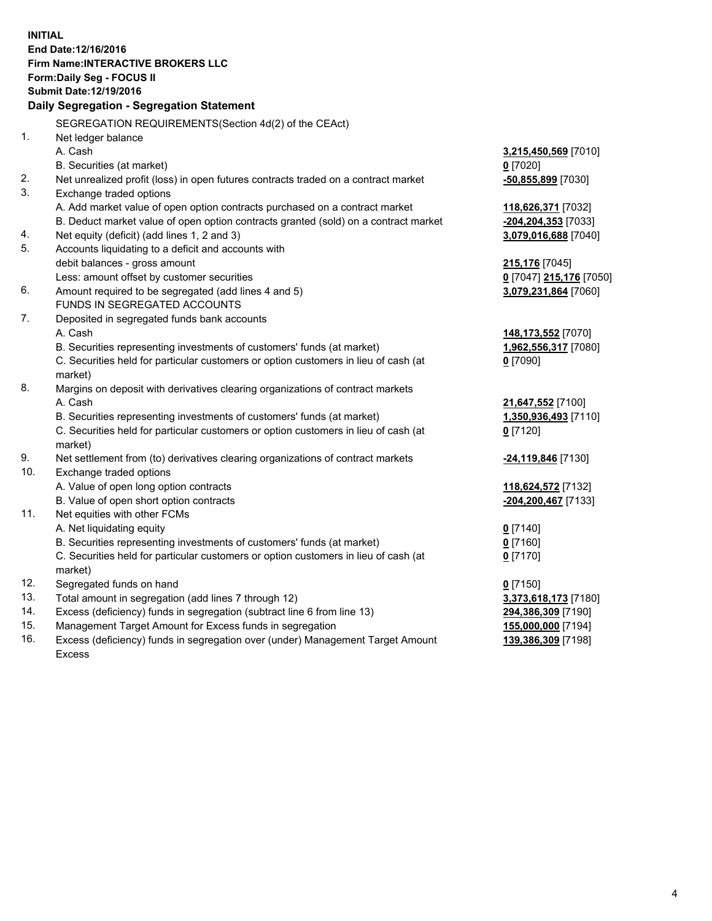**INITIAL End Date:12/16/2016 Firm Name:INTERACTIVE BROKERS LLC Form:Daily Seg - FOCUS II Submit Date:12/19/2016 Daily Segregation - Segregation Statement** SEGREGATION REQUIREMENTS(Section 4d(2) of the CEAct) 1. Net ledger balance A. Cash **3,215,450,569** [7010] B. Securities (at market) **0** [7020] 2. Net unrealized profit (loss) in open futures contracts traded on a contract market **-50,855,899** [7030] 3. Exchange traded options A. Add market value of open option contracts purchased on a contract market **118,626,371** [7032] B. Deduct market value of open option contracts granted (sold) on a contract market **-204,204,353** [7033] 4. Net equity (deficit) (add lines 1, 2 and 3) **3,079,016,688** [7040] 5. Accounts liquidating to a deficit and accounts with debit balances - gross amount **215,176** [7045] Less: amount offset by customer securities **0** [7047] **215,176** [7050] 6. Amount required to be segregated (add lines 4 and 5) **3,079,231,864** [7060] FUNDS IN SEGREGATED ACCOUNTS 7. Deposited in segregated funds bank accounts A. Cash **148,173,552** [7070] B. Securities representing investments of customers' funds (at market) **1,962,556,317** [7080] C. Securities held for particular customers or option customers in lieu of cash (at market) **0** [7090] 8. Margins on deposit with derivatives clearing organizations of contract markets A. Cash **21,647,552** [7100] B. Securities representing investments of customers' funds (at market) **1,350,936,493** [7110] C. Securities held for particular customers or option customers in lieu of cash (at market) **0** [7120] 9. Net settlement from (to) derivatives clearing organizations of contract markets **-24,119,846** [7130] 10. Exchange traded options A. Value of open long option contracts **118,624,572** [7132] B. Value of open short option contracts **-204,200,467** [7133] 11. Net equities with other FCMs A. Net liquidating equity **0** [7140] B. Securities representing investments of customers' funds (at market) **0** [7160] C. Securities held for particular customers or option customers in lieu of cash (at market) **0** [7170] 12. Segregated funds on hand **0** [7150] 13. Total amount in segregation (add lines 7 through 12) **3,373,618,173** [7180] 14. Excess (deficiency) funds in segregation (subtract line 6 from line 13) **294,386,309** [7190] 15. Management Target Amount for Excess funds in segregation **155,000,000** [7194] 16. Excess (deficiency) funds in segregation over (under) Management Target Amount **139,386,309** [7198]

Excess